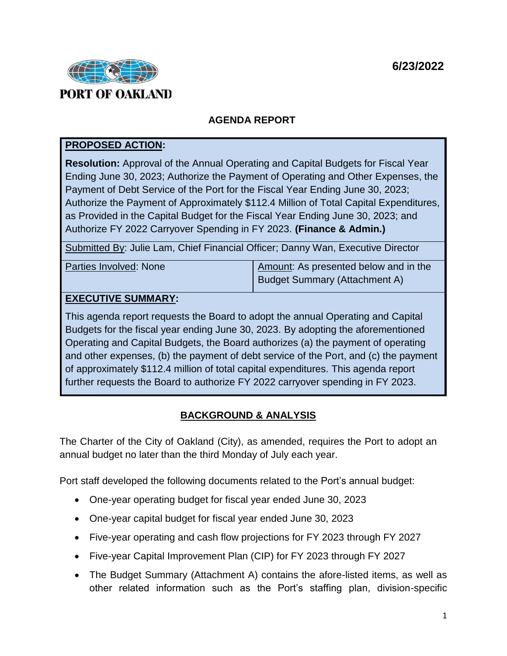

# **AGENDA REPORT**

## **PROPOSED ACTION:**

**Resolution:** Approval of the Annual Operating and Capital Budgets for Fiscal Year Ending June 30, 2023; Authorize the Payment of Operating and Other Expenses, the Payment of Debt Service of the Port for the Fiscal Year Ending June 30, 2023; Authorize the Payment of Approximately \$112.4 Million of Total Capital Expenditures, as Provided in the Capital Budget for the Fiscal Year Ending June 30, 2023; and Authorize FY 2022 Carryover Spending in FY 2023. **(Finance & Admin.)**

Submitted By: Julie Lam, Chief Financial Officer; Danny Wan, Executive Director

Parties Involved: None Amount: As presented below and in the Budget Summary (Attachment A)

## **EXECUTIVE SUMMARY:**

This agenda report requests the Board to adopt the annual Operating and Capital Budgets for the fiscal year ending June 30, 2023. By adopting the aforementioned Operating and Capital Budgets, the Board authorizes (a) the payment of operating and other expenses, (b) the payment of debt service of the Port, and (c) the payment of approximately \$112.4 million of total capital expenditures. This agenda report further requests the Board to authorize FY 2022 carryover spending in FY 2023.

## **BACKGROUND & ANALYSIS**

The Charter of the City of Oakland (City), as amended, requires the Port to adopt an annual budget no later than the third Monday of July each year.

Port staff developed the following documents related to the Port's annual budget:

- One-year operating budget for fiscal year ended June 30, 2023
- One-year capital budget for fiscal year ended June 30, 2023
- Five-year operating and cash flow projections for FY 2023 through FY 2027
- Five-year Capital Improvement Plan (CIP) for FY 2023 through FY 2027
- The Budget Summary (Attachment A) contains the afore-listed items, as well as other related information such as the Port's staffing plan, division-specific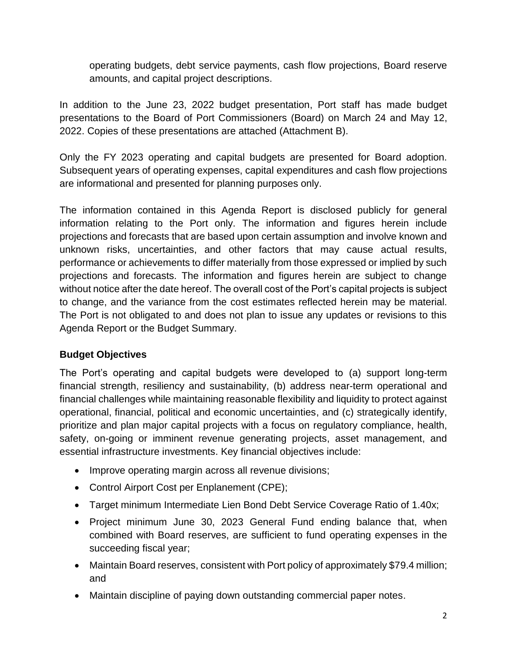operating budgets, debt service payments, cash flow projections, Board reserve amounts, and capital project descriptions.

In addition to the June 23, 2022 budget presentation, Port staff has made budget presentations to the Board of Port Commissioners (Board) on March 24 and May 12, 2022. Copies of these presentations are attached (Attachment B).

Only the FY 2023 operating and capital budgets are presented for Board adoption. Subsequent years of operating expenses, capital expenditures and cash flow projections are informational and presented for planning purposes only.

The information contained in this Agenda Report is disclosed publicly for general information relating to the Port only. The information and figures herein include projections and forecasts that are based upon certain assumption and involve known and unknown risks, uncertainties, and other factors that may cause actual results, performance or achievements to differ materially from those expressed or implied by such projections and forecasts. The information and figures herein are subject to change without notice after the date hereof. The overall cost of the Port's capital projects is subject to change, and the variance from the cost estimates reflected herein may be material. The Port is not obligated to and does not plan to issue any updates or revisions to this Agenda Report or the Budget Summary.

## **Budget Objectives**

The Port's operating and capital budgets were developed to (a) support long-term financial strength, resiliency and sustainability, (b) address near-term operational and financial challenges while maintaining reasonable flexibility and liquidity to protect against operational, financial, political and economic uncertainties, and (c) strategically identify, prioritize and plan major capital projects with a focus on regulatory compliance, health, safety, on-going or imminent revenue generating projects, asset management, and essential infrastructure investments. Key financial objectives include:

- Improve operating margin across all revenue divisions;
- Control Airport Cost per Enplanement (CPE);
- Target minimum Intermediate Lien Bond Debt Service Coverage Ratio of 1.40x;
- Project minimum June 30, 2023 General Fund ending balance that, when combined with Board reserves, are sufficient to fund operating expenses in the succeeding fiscal year;
- Maintain Board reserves, consistent with Port policy of approximately \$79.4 million; and
- Maintain discipline of paying down outstanding commercial paper notes.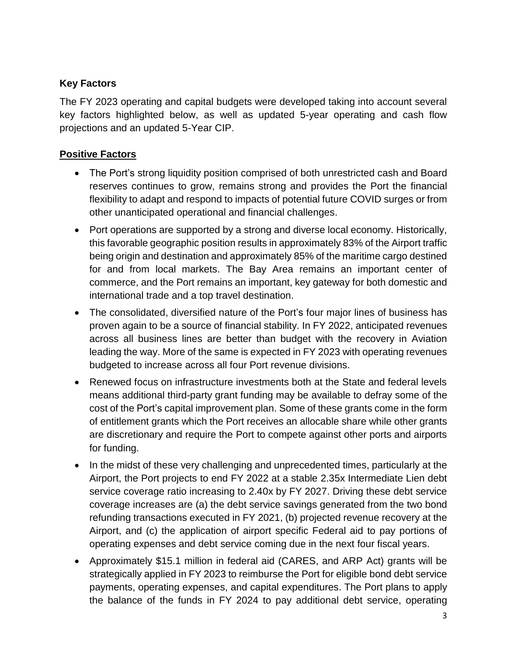# **Key Factors**

The FY 2023 operating and capital budgets were developed taking into account several key factors highlighted below, as well as updated 5-year operating and cash flow projections and an updated 5-Year CIP.

## **Positive Factors**

- The Port's strong liquidity position comprised of both unrestricted cash and Board reserves continues to grow, remains strong and provides the Port the financial flexibility to adapt and respond to impacts of potential future COVID surges or from other unanticipated operational and financial challenges.
- Port operations are supported by a strong and diverse local economy. Historically, this favorable geographic position results in approximately 83% of the Airport traffic being origin and destination and approximately 85% of the maritime cargo destined for and from local markets. The Bay Area remains an important center of commerce, and the Port remains an important, key gateway for both domestic and international trade and a top travel destination.
- The consolidated, diversified nature of the Port's four major lines of business has proven again to be a source of financial stability. In FY 2022, anticipated revenues across all business lines are better than budget with the recovery in Aviation leading the way. More of the same is expected in FY 2023 with operating revenues budgeted to increase across all four Port revenue divisions.
- Renewed focus on infrastructure investments both at the State and federal levels means additional third-party grant funding may be available to defray some of the cost of the Port's capital improvement plan. Some of these grants come in the form of entitlement grants which the Port receives an allocable share while other grants are discretionary and require the Port to compete against other ports and airports for funding.
- In the midst of these very challenging and unprecedented times, particularly at the Airport, the Port projects to end FY 2022 at a stable 2.35x Intermediate Lien debt service coverage ratio increasing to 2.40x by FY 2027. Driving these debt service coverage increases are (a) the debt service savings generated from the two bond refunding transactions executed in FY 2021, (b) projected revenue recovery at the Airport, and (c) the application of airport specific Federal aid to pay portions of operating expenses and debt service coming due in the next four fiscal years.
- Approximately \$15.1 million in federal aid (CARES, and ARP Act) grants will be strategically applied in FY 2023 to reimburse the Port for eligible bond debt service payments, operating expenses, and capital expenditures. The Port plans to apply the balance of the funds in FY 2024 to pay additional debt service, operating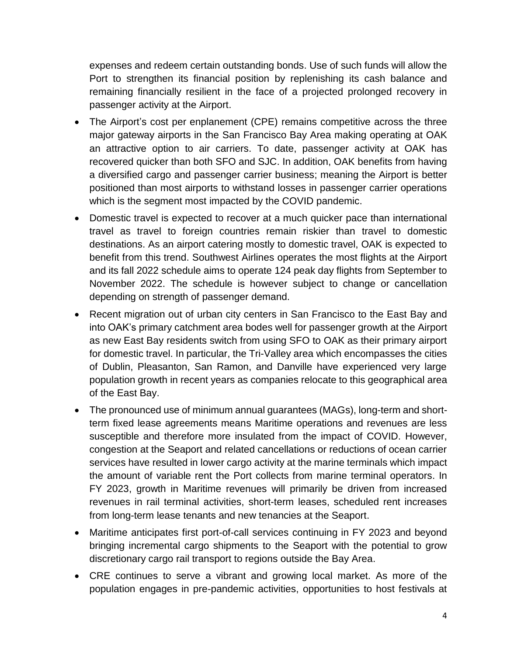expenses and redeem certain outstanding bonds. Use of such funds will allow the Port to strengthen its financial position by replenishing its cash balance and remaining financially resilient in the face of a projected prolonged recovery in passenger activity at the Airport.

- The Airport's cost per enplanement (CPE) remains competitive across the three major gateway airports in the San Francisco Bay Area making operating at OAK an attractive option to air carriers. To date, passenger activity at OAK has recovered quicker than both SFO and SJC. In addition, OAK benefits from having a diversified cargo and passenger carrier business; meaning the Airport is better positioned than most airports to withstand losses in passenger carrier operations which is the segment most impacted by the COVID pandemic.
- Domestic travel is expected to recover at a much quicker pace than international travel as travel to foreign countries remain riskier than travel to domestic destinations. As an airport catering mostly to domestic travel, OAK is expected to benefit from this trend. Southwest Airlines operates the most flights at the Airport and its fall 2022 schedule aims to operate 124 peak day flights from September to November 2022. The schedule is however subject to change or cancellation depending on strength of passenger demand.
- Recent migration out of urban city centers in San Francisco to the East Bay and into OAK's primary catchment area bodes well for passenger growth at the Airport as new East Bay residents switch from using SFO to OAK as their primary airport for domestic travel. In particular, the Tri-Valley area which encompasses the cities of Dublin, Pleasanton, San Ramon, and Danville have experienced very large population growth in recent years as companies relocate to this geographical area of the East Bay.
- The pronounced use of minimum annual guarantees (MAGs), long-term and shortterm fixed lease agreements means Maritime operations and revenues are less susceptible and therefore more insulated from the impact of COVID. However, congestion at the Seaport and related cancellations or reductions of ocean carrier services have resulted in lower cargo activity at the marine terminals which impact the amount of variable rent the Port collects from marine terminal operators. In FY 2023, growth in Maritime revenues will primarily be driven from increased revenues in rail terminal activities, short-term leases, scheduled rent increases from long-term lease tenants and new tenancies at the Seaport.
- Maritime anticipates first port-of-call services continuing in FY 2023 and beyond bringing incremental cargo shipments to the Seaport with the potential to grow discretionary cargo rail transport to regions outside the Bay Area.
- CRE continues to serve a vibrant and growing local market. As more of the population engages in pre-pandemic activities, opportunities to host festivals at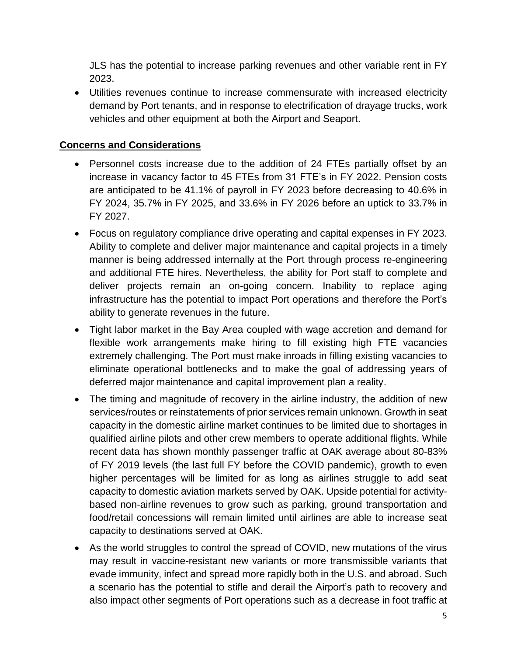JLS has the potential to increase parking revenues and other variable rent in FY 2023.

 Utilities revenues continue to increase commensurate with increased electricity demand by Port tenants, and in response to electrification of drayage trucks, work vehicles and other equipment at both the Airport and Seaport.

## **Concerns and Considerations**

- Personnel costs increase due to the addition of 24 FTEs partially offset by an increase in vacancy factor to 45 FTEs from 31 FTE's in FY 2022. Pension costs are anticipated to be 41.1% of payroll in FY 2023 before decreasing to 40.6% in FY 2024, 35.7% in FY 2025, and 33.6% in FY 2026 before an uptick to 33.7% in FY 2027.
- Focus on regulatory compliance drive operating and capital expenses in FY 2023. Ability to complete and deliver major maintenance and capital projects in a timely manner is being addressed internally at the Port through process re-engineering and additional FTE hires. Nevertheless, the ability for Port staff to complete and deliver projects remain an on-going concern. Inability to replace aging infrastructure has the potential to impact Port operations and therefore the Port's ability to generate revenues in the future.
- Tight labor market in the Bay Area coupled with wage accretion and demand for flexible work arrangements make hiring to fill existing high FTE vacancies extremely challenging. The Port must make inroads in filling existing vacancies to eliminate operational bottlenecks and to make the goal of addressing years of deferred major maintenance and capital improvement plan a reality.
- The timing and magnitude of recovery in the airline industry, the addition of new services/routes or reinstatements of prior services remain unknown. Growth in seat capacity in the domestic airline market continues to be limited due to shortages in qualified airline pilots and other crew members to operate additional flights. While recent data has shown monthly passenger traffic at OAK average about 80-83% of FY 2019 levels (the last full FY before the COVID pandemic), growth to even higher percentages will be limited for as long as airlines struggle to add seat capacity to domestic aviation markets served by OAK. Upside potential for activitybased non-airline revenues to grow such as parking, ground transportation and food/retail concessions will remain limited until airlines are able to increase seat capacity to destinations served at OAK.
- As the world struggles to control the spread of COVID, new mutations of the virus may result in vaccine-resistant new variants or more transmissible variants that evade immunity, infect and spread more rapidly both in the U.S. and abroad. Such a scenario has the potential to stifle and derail the Airport's path to recovery and also impact other segments of Port operations such as a decrease in foot traffic at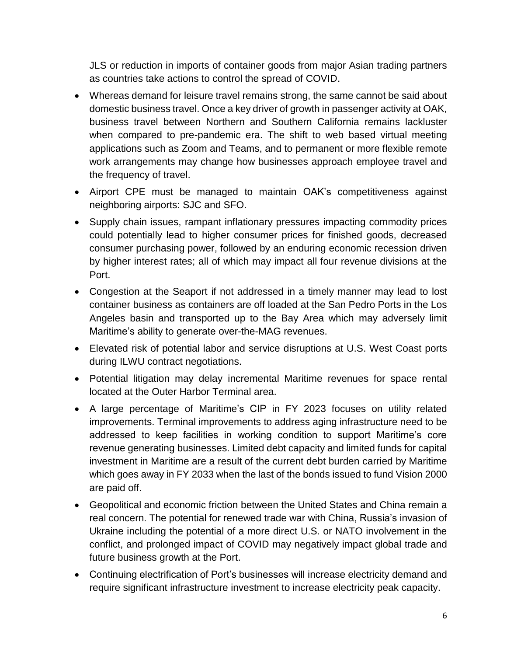JLS or reduction in imports of container goods from major Asian trading partners as countries take actions to control the spread of COVID.

- Whereas demand for leisure travel remains strong, the same cannot be said about domestic business travel. Once a key driver of growth in passenger activity at OAK, business travel between Northern and Southern California remains lackluster when compared to pre-pandemic era. The shift to web based virtual meeting applications such as Zoom and Teams, and to permanent or more flexible remote work arrangements may change how businesses approach employee travel and the frequency of travel.
- Airport CPE must be managed to maintain OAK's competitiveness against neighboring airports: SJC and SFO.
- Supply chain issues, rampant inflationary pressures impacting commodity prices could potentially lead to higher consumer prices for finished goods, decreased consumer purchasing power, followed by an enduring economic recession driven by higher interest rates; all of which may impact all four revenue divisions at the Port.
- Congestion at the Seaport if not addressed in a timely manner may lead to lost container business as containers are off loaded at the San Pedro Ports in the Los Angeles basin and transported up to the Bay Area which may adversely limit Maritime's ability to generate over-the-MAG revenues.
- Elevated risk of potential labor and service disruptions at U.S. West Coast ports during ILWU contract negotiations.
- Potential litigation may delay incremental Maritime revenues for space rental located at the Outer Harbor Terminal area.
- A large percentage of Maritime's CIP in FY 2023 focuses on utility related improvements. Terminal improvements to address aging infrastructure need to be addressed to keep facilities in working condition to support Maritime's core revenue generating businesses. Limited debt capacity and limited funds for capital investment in Maritime are a result of the current debt burden carried by Maritime which goes away in FY 2033 when the last of the bonds issued to fund Vision 2000 are paid off.
- Geopolitical and economic friction between the United States and China remain a real concern. The potential for renewed trade war with China, Russia's invasion of Ukraine including the potential of a more direct U.S. or NATO involvement in the conflict, and prolonged impact of COVID may negatively impact global trade and future business growth at the Port.
- Continuing electrification of Port's businesses will increase electricity demand and require significant infrastructure investment to increase electricity peak capacity.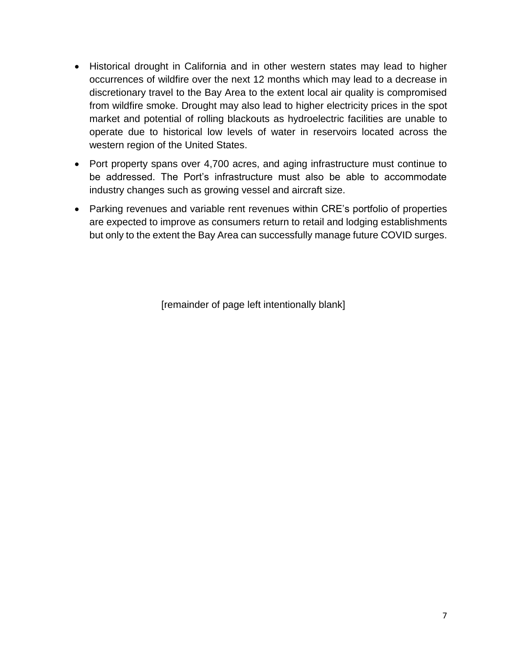- Historical drought in California and in other western states may lead to higher occurrences of wildfire over the next 12 months which may lead to a decrease in discretionary travel to the Bay Area to the extent local air quality is compromised from wildfire smoke. Drought may also lead to higher electricity prices in the spot market and potential of rolling blackouts as hydroelectric facilities are unable to operate due to historical low levels of water in reservoirs located across the western region of the United States.
- Port property spans over 4,700 acres, and aging infrastructure must continue to be addressed. The Port's infrastructure must also be able to accommodate industry changes such as growing vessel and aircraft size.
- Parking revenues and variable rent revenues within CRE's portfolio of properties are expected to improve as consumers return to retail and lodging establishments but only to the extent the Bay Area can successfully manage future COVID surges.

[remainder of page left intentionally blank]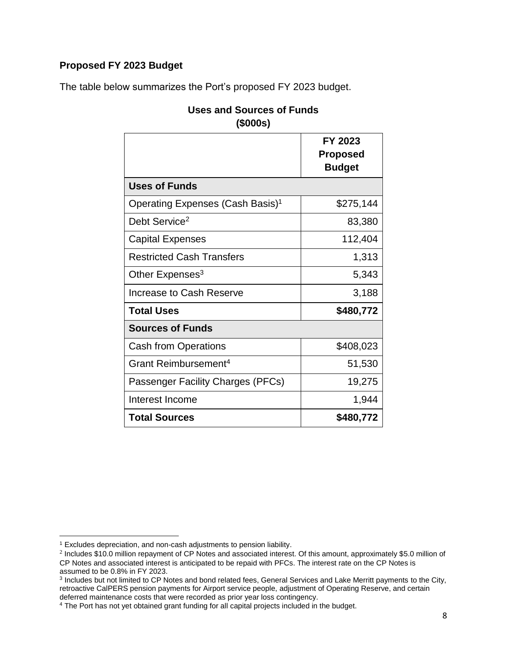## **Proposed FY 2023 Budget**

The table below summarizes the Port's proposed FY 2023 budget.

|                                              | FY 2023<br><b>Proposed</b><br><b>Budget</b> |
|----------------------------------------------|---------------------------------------------|
| <b>Uses of Funds</b>                         |                                             |
| Operating Expenses (Cash Basis) <sup>1</sup> | \$275,144                                   |
| Debt Service <sup>2</sup>                    | 83,380                                      |
| <b>Capital Expenses</b>                      | 112,404                                     |
| <b>Restricted Cash Transfers</b>             | 1,313                                       |
| Other Expenses <sup>3</sup>                  | 5,343                                       |
| Increase to Cash Reserve                     | 3,188                                       |
| <b>Total Uses</b>                            | \$480,772                                   |
| <b>Sources of Funds</b>                      |                                             |
| <b>Cash from Operations</b>                  | \$408,023                                   |
| Grant Reimbursement <sup>4</sup>             | 51,530                                      |
| Passenger Facility Charges (PFCs)            | 19,275                                      |
| Interest Income                              | 1,944                                       |
| <b>Total Sources</b>                         | \$480,772                                   |

## **Uses and Sources of Funds (\$000s)**

 $\overline{\phantom{a}}$ <sup>1</sup> Excludes depreciation, and non-cash adjustments to pension liability.

<sup>&</sup>lt;sup>2</sup> Includes \$10.0 million repayment of CP Notes and associated interest. Of this amount, approximately \$5.0 million of CP Notes and associated interest is anticipated to be repaid with PFCs. The interest rate on the CP Notes is assumed to be 0.8% in FY 2023.

<sup>&</sup>lt;sup>3</sup> Includes but not limited to CP Notes and bond related fees, General Services and Lake Merritt payments to the City, retroactive CalPERS pension payments for Airport service people, adjustment of Operating Reserve, and certain deferred maintenance costs that were recorded as prior year loss contingency.

<sup>&</sup>lt;sup>4</sup> The Port has not yet obtained grant funding for all capital projects included in the budget.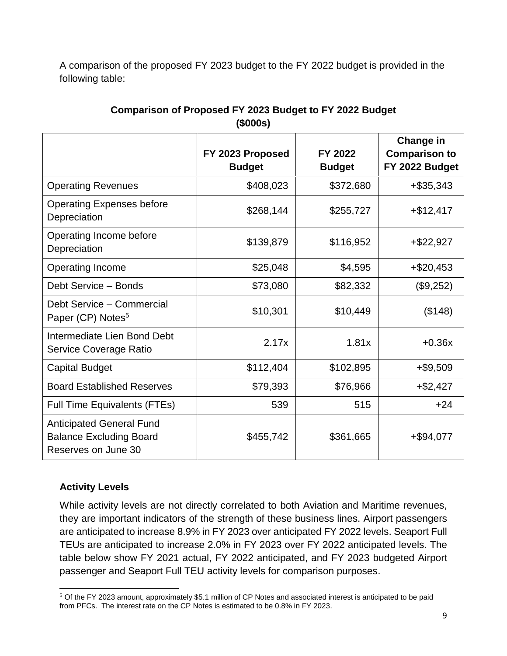A comparison of the proposed FY 2023 budget to the FY 2022 budget is provided in the following table:

|                                                                                          | FY 2023 Proposed<br><b>Budget</b> | FY 2022<br><b>Budget</b> | <b>Change in</b><br><b>Comparison to</b><br>FY 2022 Budget |
|------------------------------------------------------------------------------------------|-----------------------------------|--------------------------|------------------------------------------------------------|
| <b>Operating Revenues</b>                                                                | \$408,023                         | \$372,680                | $+$ \$35,343                                               |
| <b>Operating Expenses before</b><br>Depreciation                                         | \$268,144                         | \$255,727                | $+$ \$12,417                                               |
| Operating Income before<br>Depreciation                                                  | \$139,879                         | \$116,952                | +\$22,927                                                  |
| <b>Operating Income</b>                                                                  | \$25,048                          | \$4,595                  | +\$20,453                                                  |
| Debt Service - Bonds                                                                     | \$73,080                          | \$82,332                 | (\$9,252)                                                  |
| Debt Service - Commercial<br>Paper (CP) Notes <sup>5</sup>                               | \$10,301                          | \$10,449                 | (\$148)                                                    |
| Intermediate Lien Bond Debt<br>Service Coverage Ratio                                    | 2.17x                             | 1.81x                    | $+0.36x$                                                   |
| <b>Capital Budget</b>                                                                    | \$112,404                         | \$102,895                | +\$9,509                                                   |
| <b>Board Established Reserves</b>                                                        | \$79,393                          | \$76,966                 | $+$ \$2,427                                                |
| <b>Full Time Equivalents (FTEs)</b>                                                      | 539                               | 515                      | $+24$                                                      |
| <b>Anticipated General Fund</b><br><b>Balance Excluding Board</b><br>Reserves on June 30 | \$455,742                         | \$361,665                | +\$94,077                                                  |

# **Comparison of Proposed FY 2023 Budget to FY 2022 Budget (\$000s)**

## **Activity Levels**

While activity levels are not directly correlated to both Aviation and Maritime revenues, they are important indicators of the strength of these business lines. Airport passengers are anticipated to increase 8.9% in FY 2023 over anticipated FY 2022 levels. Seaport Full TEUs are anticipated to increase 2.0% in FY 2023 over FY 2022 anticipated levels. The table below show FY 2021 actual, FY 2022 anticipated, and FY 2023 budgeted Airport passenger and Seaport Full TEU activity levels for comparison purposes.

 $\overline{a}$ <sup>5</sup> Of the FY 2023 amount, approximately \$5.1 million of CP Notes and associated interest is anticipated to be paid from PFCs. The interest rate on the CP Notes is estimated to be 0.8% in FY 2023.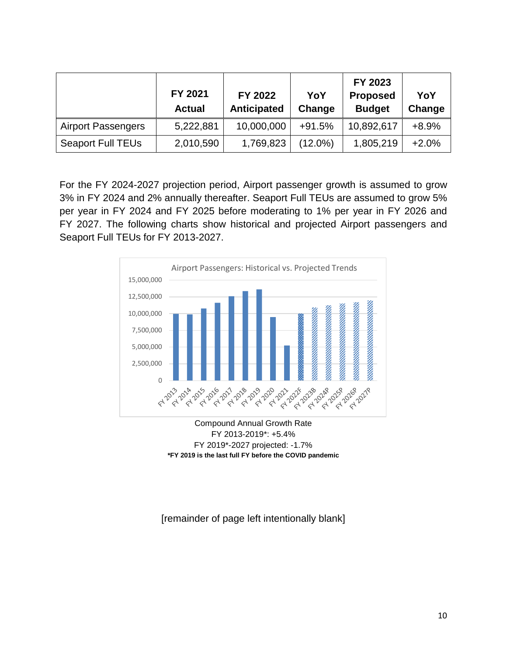|                           | FY 2021<br><b>Actual</b> | FY 2022<br><b>Anticipated</b> | YoY<br>Change | FY 2023<br><b>Proposed</b><br><b>Budget</b> | YoY<br>Change |
|---------------------------|--------------------------|-------------------------------|---------------|---------------------------------------------|---------------|
| <b>Airport Passengers</b> | 5,222,881                | 10,000,000                    | $+91.5%$      | 10,892,617                                  | $+8.9%$       |
| <b>Seaport Full TEUs</b>  | 2,010,590                | 1,769,823                     | $(12.0\%)$    | 1,805,219                                   | $+2.0%$       |

For the FY 2024-2027 projection period, Airport passenger growth is assumed to grow 3% in FY 2024 and 2% annually thereafter. Seaport Full TEUs are assumed to grow 5% per year in FY 2024 and FY 2025 before moderating to 1% per year in FY 2026 and FY 2027. The following charts show historical and projected Airport passengers and Seaport Full TEUs for FY 2013-2027.



Compound Annual Growth Rate FY 2013-2019\*: +5.4% FY 2019\*-2027 projected: -1.7% **\*FY 2019 is the last full FY before the COVID pandemic**

[remainder of page left intentionally blank]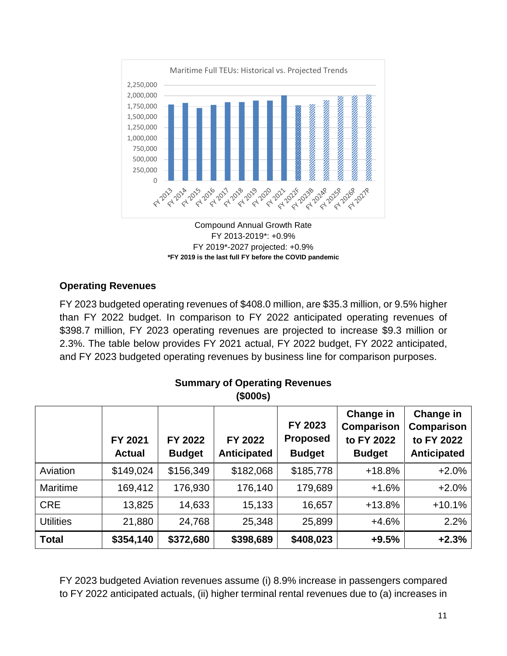

Compound Annual Growth Rate FY 2013-2019\*: +0.9% FY 2019\*-2027 projected: +0.9% **\*FY 2019 is the last full FY before the COVID pandemic**

## **Operating Revenues**

FY 2023 budgeted operating revenues of \$408.0 million, are \$35.3 million, or 9.5% higher than FY 2022 budget. In comparison to FY 2022 anticipated operating revenues of \$398.7 million, FY 2023 operating revenues are projected to increase \$9.3 million or 2.3%. The table below provides FY 2021 actual, FY 2022 budget, FY 2022 anticipated, and FY 2023 budgeted operating revenues by business line for comparison purposes.

|                  | FY 2021<br><b>Actual</b> | FY 2022<br><b>Budget</b> | FY 2022<br><b>Anticipated</b> | FY 2023<br><b>Proposed</b><br><b>Budget</b> | Change in<br><b>Comparison</b><br>to FY 2022<br><b>Budget</b> | Change in<br><b>Comparison</b><br>to FY 2022<br><b>Anticipated</b> |
|------------------|--------------------------|--------------------------|-------------------------------|---------------------------------------------|---------------------------------------------------------------|--------------------------------------------------------------------|
| Aviation         | \$149,024                | \$156,349                | \$182,068                     | \$185,778                                   | $+18.8%$                                                      | $+2.0%$                                                            |
| <b>Maritime</b>  | 169,412                  | 176,930                  | 176,140                       | 179,689                                     | $+1.6%$                                                       | $+2.0%$                                                            |
| <b>CRE</b>       | 13,825                   | 14,633                   | 15,133                        | 16,657                                      | $+13.8%$                                                      | $+10.1%$                                                           |
| <b>Utilities</b> | 21,880                   | 24,768                   | 25,348                        | 25,899                                      | $+4.6%$                                                       | 2.2%                                                               |
| <b>Total</b>     | \$354,140                | \$372,680                | \$398,689                     | \$408,023                                   | $+9.5%$                                                       | $+2.3%$                                                            |

#### **Summary of Operating Revenues (\$000s)**

FY 2023 budgeted Aviation revenues assume (i) 8.9% increase in passengers compared to FY 2022 anticipated actuals, (ii) higher terminal rental revenues due to (a) increases in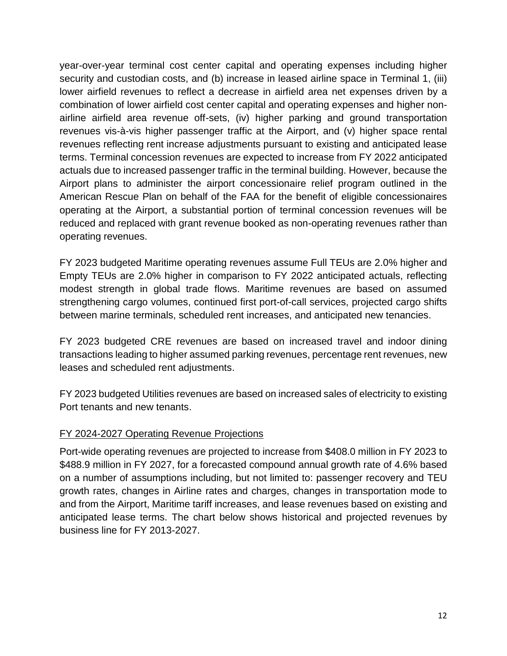year-over-year terminal cost center capital and operating expenses including higher security and custodian costs, and (b) increase in leased airline space in Terminal 1, (iii) lower airfield revenues to reflect a decrease in airfield area net expenses driven by a combination of lower airfield cost center capital and operating expenses and higher nonairline airfield area revenue off-sets, (iv) higher parking and ground transportation revenues vis-à-vis higher passenger traffic at the Airport, and (v) higher space rental revenues reflecting rent increase adjustments pursuant to existing and anticipated lease terms. Terminal concession revenues are expected to increase from FY 2022 anticipated actuals due to increased passenger traffic in the terminal building. However, because the Airport plans to administer the airport concessionaire relief program outlined in the American Rescue Plan on behalf of the FAA for the benefit of eligible concessionaires operating at the Airport, a substantial portion of terminal concession revenues will be reduced and replaced with grant revenue booked as non-operating revenues rather than operating revenues.

FY 2023 budgeted Maritime operating revenues assume Full TEUs are 2.0% higher and Empty TEUs are 2.0% higher in comparison to FY 2022 anticipated actuals, reflecting modest strength in global trade flows. Maritime revenues are based on assumed strengthening cargo volumes, continued first port-of-call services, projected cargo shifts between marine terminals, scheduled rent increases, and anticipated new tenancies.

FY 2023 budgeted CRE revenues are based on increased travel and indoor dining transactions leading to higher assumed parking revenues, percentage rent revenues, new leases and scheduled rent adjustments.

FY 2023 budgeted Utilities revenues are based on increased sales of electricity to existing Port tenants and new tenants.

## FY 2024-2027 Operating Revenue Projections

Port-wide operating revenues are projected to increase from \$408.0 million in FY 2023 to \$488.9 million in FY 2027, for a forecasted compound annual growth rate of 4.6% based on a number of assumptions including, but not limited to: passenger recovery and TEU growth rates, changes in Airline rates and charges, changes in transportation mode to and from the Airport, Maritime tariff increases, and lease revenues based on existing and anticipated lease terms. The chart below shows historical and projected revenues by business line for FY 2013-2027.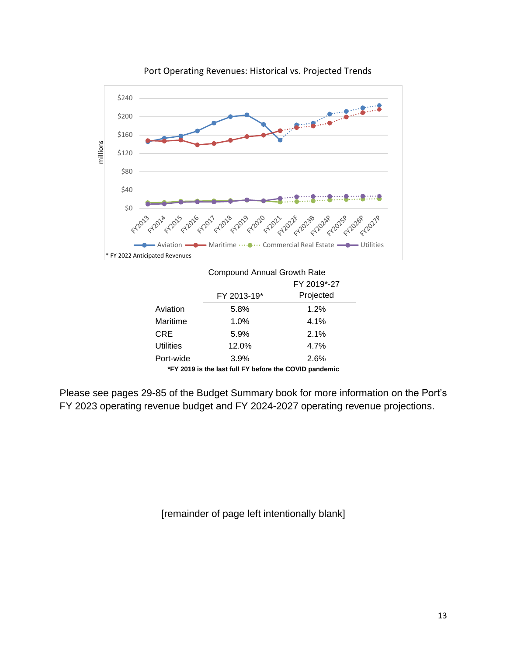

Port Operating Revenues: Historical vs. Projected Trends

|                                                        | <b>Compound Annual Growth Rate</b> |             |  |  |
|--------------------------------------------------------|------------------------------------|-------------|--|--|
|                                                        |                                    | FY 2019*-27 |  |  |
|                                                        | FY 2013-19*                        | Projected   |  |  |
| Aviation                                               | 5.8%                               | 1.2%        |  |  |
| Maritime                                               | 1.0%                               | 4.1%        |  |  |
| CRE                                                    | 5.9%                               | 2.1%        |  |  |
| Utilities                                              | 12.0%                              | 4.7%        |  |  |
| Port-wide                                              | 3.9%                               | 2.6%        |  |  |
| *FY 2019 is the last full FY before the COVID pandemic |                                    |             |  |  |

Please see pages 29-85 of the Budget Summary book for more information on the Port's FY 2023 operating revenue budget and FY 2024-2027 operating revenue projections.

[remainder of page left intentionally blank]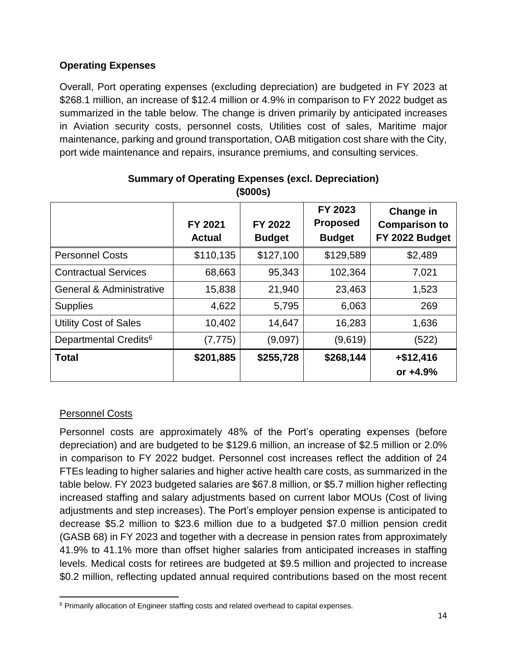## **Operating Expenses**

Overall, Port operating expenses (excluding depreciation) are budgeted in FY 2023 at \$268.1 million, an increase of \$12.4 million or 4.9% in comparison to FY 2022 budget as summarized in the table below. The change is driven primarily by anticipated increases in Aviation security costs, personnel costs, Utilities cost of sales, Maritime major maintenance, parking and ground transportation, OAB mitigation cost share with the City, port wide maintenance and repairs, insurance premiums, and consulting services.

|                                     | FY 2021<br><b>Actual</b> | FY 2022<br><b>Budget</b> | FY 2023<br><b>Proposed</b><br><b>Budget</b> | <b>Change in</b><br><b>Comparison to</b><br>FY 2022 Budget |
|-------------------------------------|--------------------------|--------------------------|---------------------------------------------|------------------------------------------------------------|
| <b>Personnel Costs</b>              | \$110,135                | \$127,100                | \$129,589                                   | \$2,489                                                    |
| <b>Contractual Services</b>         | 68,663                   | 95,343                   | 102,364                                     | 7,021                                                      |
| <b>General &amp; Administrative</b> | 15,838                   | 21,940                   | 23,463                                      | 1,523                                                      |
| <b>Supplies</b>                     | 4,622                    | 5,795                    | 6,063                                       | 269                                                        |
| <b>Utility Cost of Sales</b>        | 10,402                   | 14,647                   | 16,283                                      | 1,636                                                      |
| Departmental Credits <sup>6</sup>   | (7, 775)                 | (9,097)                  | (9,619)                                     | (522)                                                      |
| <b>Total</b>                        | \$201,885                | \$255,728                | \$268,144                                   | $+ $12,416$<br>or $+4.9%$                                  |

## **Summary of Operating Expenses (excl. Depreciation) (\$000s)**

## Personnel Costs

Personnel costs are approximately 48% of the Port's operating expenses (before depreciation) and are budgeted to be \$129.6 million, an increase of \$2.5 million or 2.0% in comparison to FY 2022 budget. Personnel cost increases reflect the addition of 24 FTEs leading to higher salaries and higher active health care costs, as summarized in the table below. FY 2023 budgeted salaries are \$67.8 million, or \$5.7 million higher reflecting increased staffing and salary adjustments based on current labor MOUs (Cost of living adjustments and step increases). The Port's employer pension expense is anticipated to decrease \$5.2 million to \$23.6 million due to a budgeted \$7.0 million pension credit (GASB 68) in FY 2023 and together with a decrease in pension rates from approximately 41.9% to 41.1% more than offset higher salaries from anticipated increases in staffing levels. Medical costs for retirees are budgeted at \$9.5 million and projected to increase \$0.2 million, reflecting updated annual required contributions based on the most recent

 $\overline{\phantom{a}}$ <sup>6</sup> Primarily allocation of Engineer staffing costs and related overhead to capital expenses.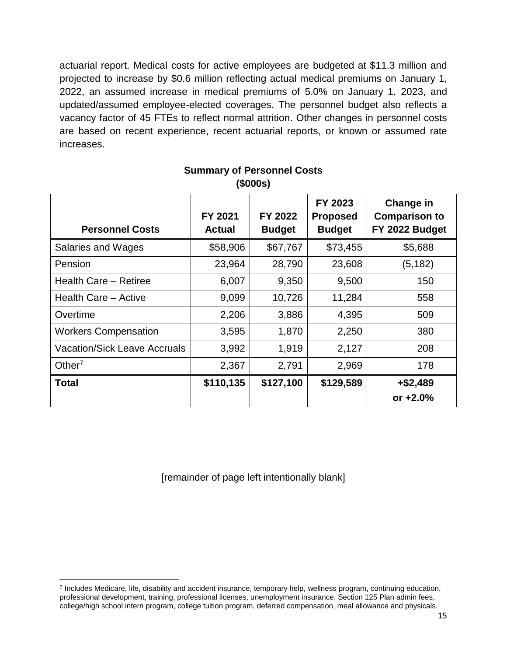actuarial report. Medical costs for active employees are budgeted at \$11.3 million and projected to increase by \$0.6 million reflecting actual medical premiums on January 1, 2022, an assumed increase in medical premiums of 5.0% on January 1, 2023, and updated/assumed employee-elected coverages. The personnel budget also reflects a vacancy factor of 45 FTEs to reflect normal attrition. Other changes in personnel costs are based on recent experience, recent actuarial reports, or known or assumed rate increases.

| <b>Personnel Costs</b>              | FY 2021<br><b>Actual</b> | FY 2022<br><b>Budget</b> | FY 2023<br><b>Proposed</b><br><b>Budget</b> | Change in<br><b>Comparison to</b><br>FY 2022 Budget |
|-------------------------------------|--------------------------|--------------------------|---------------------------------------------|-----------------------------------------------------|
| Salaries and Wages                  | \$58,906                 | \$67,767                 | \$73,455                                    | \$5,688                                             |
| Pension                             | 23,964                   | 28,790                   | 23,608                                      | (5, 182)                                            |
| Health Care - Retiree               | 6,007                    | 9,350                    | 9,500                                       | 150                                                 |
| Health Care - Active                | 9,099                    | 10,726                   | 11,284                                      | 558                                                 |
| Overtime                            | 2,206                    | 3,886                    | 4,395                                       | 509                                                 |
| <b>Workers Compensation</b>         | 3,595                    | 1,870                    | 2,250                                       | 380                                                 |
| <b>Vacation/Sick Leave Accruals</b> | 3,992                    | 1,919                    | 2,127                                       | 208                                                 |
| Other <sup>7</sup>                  | 2,367                    | 2,791                    | 2,969                                       | 178                                                 |
| <b>Total</b>                        | \$110,135                | \$127,100                | \$129,589                                   | $+ $2,489$<br>or $+2.0%$                            |

## **Summary of Personnel Costs (\$000s)**

[remainder of page left intentionally blank]

 $\overline{a}$ 

<sup>7</sup> Includes Medicare, life, disability and accident insurance, temporary help, wellness program, continuing education, professional development, training, professional licenses, unemployment insurance, Section 125 Plan admin fees, college/high school intern program, college tuition program, deferred compensation, meal allowance and physicals.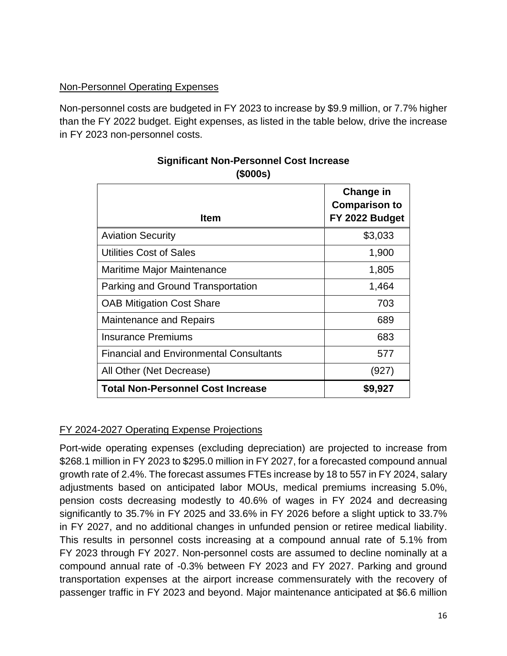#### Non-Personnel Operating Expenses

Non-personnel costs are budgeted in FY 2023 to increase by \$9.9 million, or 7.7% higher than the FY 2022 budget. Eight expenses, as listed in the table below, drive the increase in FY 2023 non-personnel costs.

| <b>Item</b>                                    | <b>Change in</b><br><b>Comparison to</b><br>FY 2022 Budget |
|------------------------------------------------|------------------------------------------------------------|
| <b>Aviation Security</b>                       | \$3,033                                                    |
| <b>Utilities Cost of Sales</b>                 | 1,900                                                      |
| Maritime Major Maintenance                     | 1,805                                                      |
| Parking and Ground Transportation              | 1,464                                                      |
| <b>OAB Mitigation Cost Share</b>               | 703                                                        |
| <b>Maintenance and Repairs</b>                 | 689                                                        |
| <b>Insurance Premiums</b>                      | 683                                                        |
| <b>Financial and Environmental Consultants</b> | 577                                                        |
| All Other (Net Decrease)                       | (927)                                                      |
| <b>Total Non-Personnel Cost Increase</b>       | \$9,927                                                    |

## **Significant Non-Personnel Cost Increase (\$000s)**

## FY 2024-2027 Operating Expense Projections

Port-wide operating expenses (excluding depreciation) are projected to increase from \$268.1 million in FY 2023 to \$295.0 million in FY 2027, for a forecasted compound annual growth rate of 2.4%. The forecast assumes FTEs increase by 18 to 557 in FY 2024, salary adjustments based on anticipated labor MOUs, medical premiums increasing 5.0%, pension costs decreasing modestly to 40.6% of wages in FY 2024 and decreasing significantly to 35.7% in FY 2025 and 33.6% in FY 2026 before a slight uptick to 33.7% in FY 2027, and no additional changes in unfunded pension or retiree medical liability. This results in personnel costs increasing at a compound annual rate of 5.1% from FY 2023 through FY 2027. Non-personnel costs are assumed to decline nominally at a compound annual rate of -0.3% between FY 2023 and FY 2027. Parking and ground transportation expenses at the airport increase commensurately with the recovery of passenger traffic in FY 2023 and beyond. Major maintenance anticipated at \$6.6 million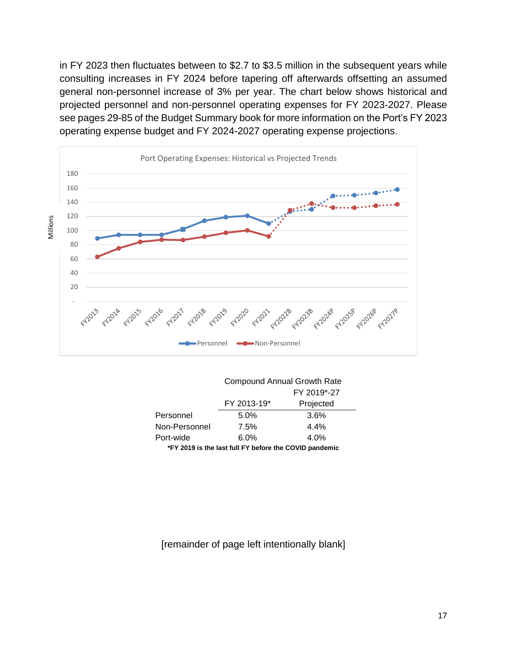in FY 2023 then fluctuates between to \$2.7 to \$3.5 million in the subsequent years while consulting increases in FY 2024 before tapering off afterwards offsetting an assumed general non-personnel increase of 3% per year. The chart below shows historical and projected personnel and non-personnel operating expenses for FY 2023-2027. Please see pages 29-85 of the Budget Summary book for more information on the Port's FY 2023 operating expense budget and FY 2024-2027 operating expense projections.



|                                                        | <b>Compound Annual Growth Rate</b> |           |  |
|--------------------------------------------------------|------------------------------------|-----------|--|
|                                                        | FY 2019*-27                        |           |  |
|                                                        | FY 2013-19*                        | Projected |  |
| Personnel                                              | 5.0%                               | 3.6%      |  |
| Non-Personnel                                          | 7.5%                               | 4.4%      |  |
| Port-wide                                              | $6.0\%$                            | 4.0%      |  |
| *FY 2019 is the last full FY before the COVID pandemic |                                    |           |  |

#### [remainder of page left intentionally blank]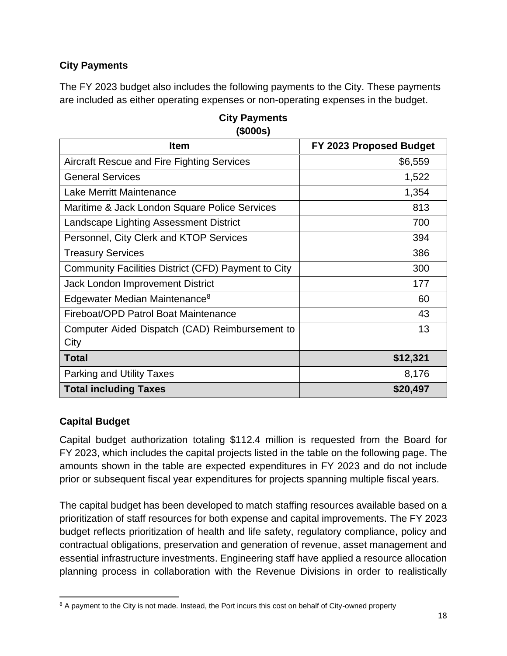# **City Payments**

The FY 2023 budget also includes the following payments to the City. These payments are included as either operating expenses or non-operating expenses in the budget.

| <b>Item</b>                                         | FY 2023 Proposed Budget |
|-----------------------------------------------------|-------------------------|
| <b>Aircraft Rescue and Fire Fighting Services</b>   | \$6,559                 |
| <b>General Services</b>                             | 1,522                   |
| Lake Merritt Maintenance                            | 1,354                   |
| Maritime & Jack London Square Police Services       | 813                     |
| Landscape Lighting Assessment District              | 700                     |
| Personnel, City Clerk and KTOP Services             | 394                     |
| <b>Treasury Services</b>                            | 386                     |
| Community Facilities District (CFD) Payment to City | 300                     |
| <b>Jack London Improvement District</b>             | 177                     |
| Edgewater Median Maintenance <sup>8</sup>           | 60                      |
| Fireboat/OPD Patrol Boat Maintenance                | 43                      |
| Computer Aided Dispatch (CAD) Reimbursement to      | 13                      |
| City                                                |                         |
| <b>Total</b>                                        | \$12,321                |
| <b>Parking and Utility Taxes</b>                    | 8,176                   |
| <b>Total including Taxes</b>                        | \$20,497                |

**City Payments (\$000s)**

## **Capital Budget**

Capital budget authorization totaling \$112.4 million is requested from the Board for FY 2023, which includes the capital projects listed in the table on the following page. The amounts shown in the table are expected expenditures in FY 2023 and do not include prior or subsequent fiscal year expenditures for projects spanning multiple fiscal years.

The capital budget has been developed to match staffing resources available based on a prioritization of staff resources for both expense and capital improvements. The FY 2023 budget reflects prioritization of health and life safety, regulatory compliance, policy and contractual obligations, preservation and generation of revenue, asset management and essential infrastructure investments. Engineering staff have applied a resource allocation planning process in collaboration with the Revenue Divisions in order to realistically

 $\overline{\phantom{a}}$ <sup>8</sup> A payment to the City is not made. Instead, the Port incurs this cost on behalf of City-owned property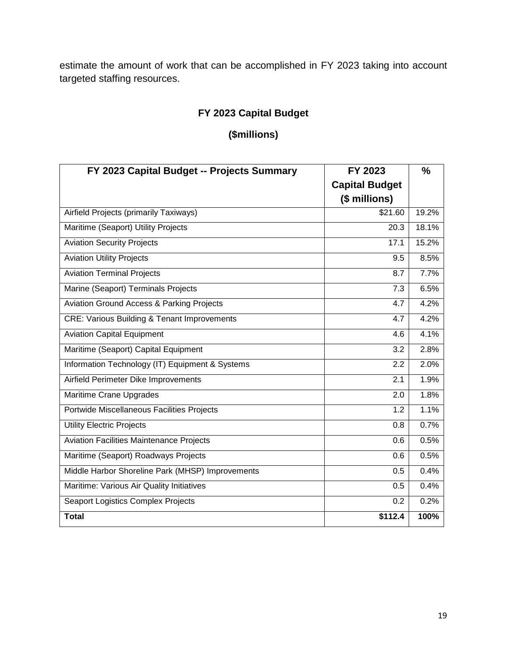estimate the amount of work that can be accomplished in FY 2023 taking into account targeted staffing resources.

# **FY 2023 Capital Budget**

# **(\$millions)**

| FY 2023 Capital Budget -- Projects Summary             | FY 2023               | $\frac{0}{0}$ |
|--------------------------------------------------------|-----------------------|---------------|
|                                                        | <b>Capital Budget</b> |               |
|                                                        | (\$ millions)         |               |
| Airfield Projects (primarily Taxiways)                 | \$21.60               | 19.2%         |
| Maritime (Seaport) Utility Projects                    | 20.3                  | 18.1%         |
| <b>Aviation Security Projects</b>                      | 17.1                  | 15.2%         |
| <b>Aviation Utility Projects</b>                       | 9.5                   | 8.5%          |
| <b>Aviation Terminal Projects</b>                      | 8.7                   | 7.7%          |
| Marine (Seaport) Terminals Projects                    | 7.3                   | 6.5%          |
| <b>Aviation Ground Access &amp; Parking Projects</b>   | 4.7                   | 4.2%          |
| <b>CRE: Various Building &amp; Tenant Improvements</b> | 4.7                   | 4.2%          |
| <b>Aviation Capital Equipment</b>                      | 4.6                   | 4.1%          |
| Maritime (Seaport) Capital Equipment                   | 3.2                   | 2.8%          |
| Information Technology (IT) Equipment & Systems        | 2.2                   | 2.0%          |
| Airfield Perimeter Dike Improvements                   | 2.1                   | 1.9%          |
| Maritime Crane Upgrades                                | 2.0                   | 1.8%          |
| Portwide Miscellaneous Facilities Projects             | 1.2                   | 1.1%          |
| <b>Utility Electric Projects</b>                       | 0.8                   | 0.7%          |
| <b>Aviation Facilities Maintenance Projects</b>        | 0.6                   | 0.5%          |
| Maritime (Seaport) Roadways Projects                   | 0.6                   | 0.5%          |
| Middle Harbor Shoreline Park (MHSP) Improvements       | 0.5                   | 0.4%          |
| Maritime: Various Air Quality Initiatives              | 0.5                   | 0.4%          |
| Seaport Logistics Complex Projects                     | 0.2                   | 0.2%          |
| <b>Total</b>                                           | \$112.4               | 100%          |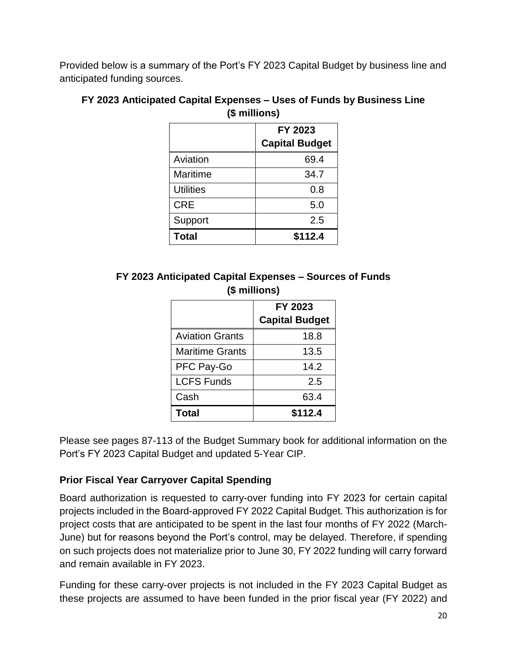Provided below is a summary of the Port's FY 2023 Capital Budget by business line and anticipated funding sources.

|                  | FY 2023<br><b>Capital Budget</b> |
|------------------|----------------------------------|
| Aviation         | 69.4                             |
| Maritime         | 34.7                             |
| <b>Utilities</b> | 0.8                              |
| <b>CRE</b>       | 5.0                              |
| Support          | 2.5                              |
| <b>Total</b>     | \$112.4                          |

#### **FY 2023 Anticipated Capital Expenses – Uses of Funds by Business Line (\$ millions)**

## **FY 2023 Anticipated Capital Expenses – Sources of Funds (\$ millions)**

|                        | FY 2023<br><b>Capital Budget</b> |
|------------------------|----------------------------------|
| <b>Aviation Grants</b> | 18.8                             |
| <b>Maritime Grants</b> | 13.5                             |
| PFC Pay-Go             | 14.2                             |
| <b>LCFS Funds</b>      | 2.5                              |
| Cash                   | 63.4                             |
| <b>Total</b>           | \$112.4                          |

Please see pages 87-113 of the Budget Summary book for additional information on the Port's FY 2023 Capital Budget and updated 5-Year CIP.

## **Prior Fiscal Year Carryover Capital Spending**

Board authorization is requested to carry-over funding into FY 2023 for certain capital projects included in the Board-approved FY 2022 Capital Budget. This authorization is for project costs that are anticipated to be spent in the last four months of FY 2022 (March-June) but for reasons beyond the Port's control, may be delayed. Therefore, if spending on such projects does not materialize prior to June 30, FY 2022 funding will carry forward and remain available in FY 2023.

Funding for these carry-over projects is not included in the FY 2023 Capital Budget as these projects are assumed to have been funded in the prior fiscal year (FY 2022) and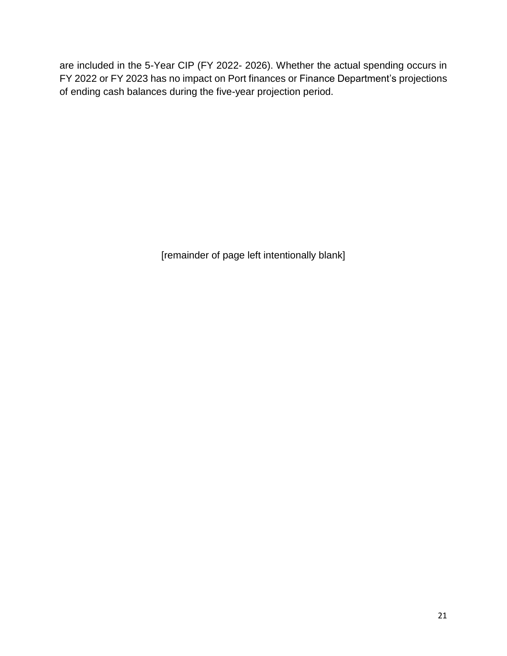are included in the 5-Year CIP (FY 2022- 2026). Whether the actual spending occurs in FY 2022 or FY 2023 has no impact on Port finances or Finance Department's projections of ending cash balances during the five-year projection period.

[remainder of page left intentionally blank]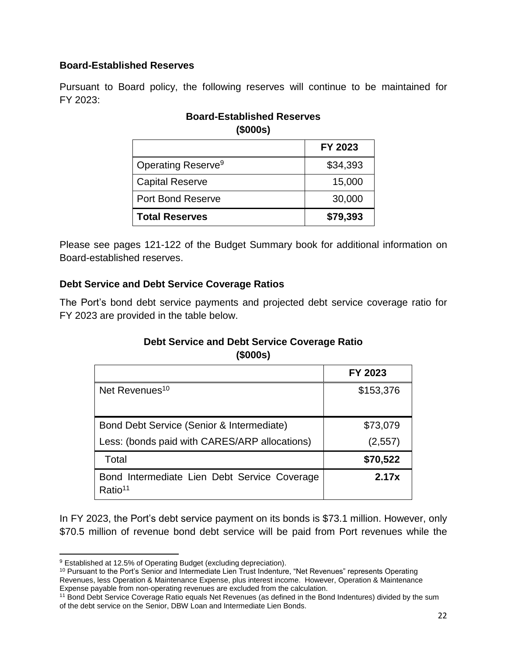## **Board-Established Reserves**

Pursuant to Board policy, the following reserves will continue to be maintained for FY 2023:

## **Board-Established Reserves (\$000s)**

|                                | FY 2023  |
|--------------------------------|----------|
| Operating Reserve <sup>9</sup> | \$34,393 |
| <b>Capital Reserve</b>         | 15,000   |
| <b>Port Bond Reserve</b>       | 30,000   |
| <b>Total Reserves</b>          | \$79,393 |

Please see pages 121-122 of the Budget Summary book for additional information on Board-established reserves.

## **Debt Service and Debt Service Coverage Ratios**

The Port's bond debt service payments and projected debt service coverage ratio for FY 2023 are provided in the table below.

## **Debt Service and Debt Service Coverage Ratio (\$000s)**

|                                                                     | FY 2023   |
|---------------------------------------------------------------------|-----------|
| Net Revenues <sup>10</sup>                                          | \$153,376 |
| Bond Debt Service (Senior & Intermediate)                           | \$73,079  |
| Less: (bonds paid with CARES/ARP allocations)                       | (2,557)   |
| Total                                                               | \$70,522  |
| Bond Intermediate Lien Debt Service Coverage<br>Ratio <sup>11</sup> | 2.17x     |

In FY 2023, the Port's debt service payment on its bonds is \$73.1 million. However, only \$70.5 million of revenue bond debt service will be paid from Port revenues while the

 $\overline{\phantom{a}}$ <sup>9</sup> Established at 12.5% of Operating Budget (excluding depreciation).

<sup>10</sup> Pursuant to the Port's Senior and Intermediate Lien Trust Indenture, "Net Revenues" represents Operating Revenues, less Operation & Maintenance Expense, plus interest income. However, Operation & Maintenance Expense payable from non-operating revenues are excluded from the calculation.

<sup>11</sup> Bond Debt Service Coverage Ratio equals Net Revenues (as defined in the Bond Indentures) divided by the sum of the debt service on the Senior, DBW Loan and Intermediate Lien Bonds.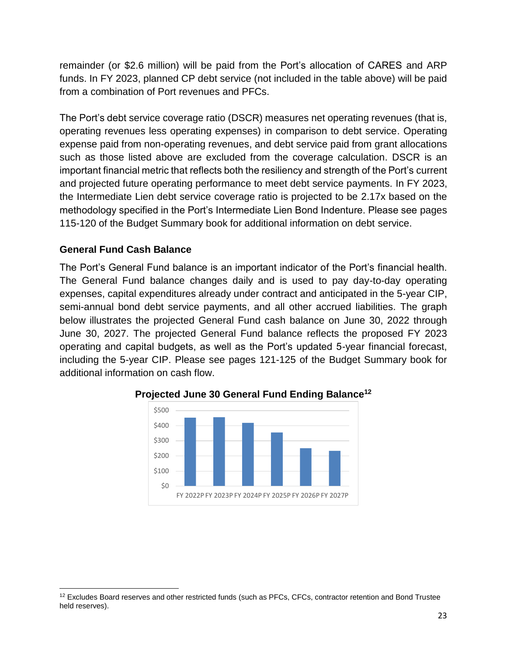remainder (or \$2.6 million) will be paid from the Port's allocation of CARES and ARP funds. In FY 2023, planned CP debt service (not included in the table above) will be paid from a combination of Port revenues and PFCs.

The Port's debt service coverage ratio (DSCR) measures net operating revenues (that is, operating revenues less operating expenses) in comparison to debt service. Operating expense paid from non-operating revenues, and debt service paid from grant allocations such as those listed above are excluded from the coverage calculation. DSCR is an important financial metric that reflects both the resiliency and strength of the Port's current and projected future operating performance to meet debt service payments. In FY 2023, the Intermediate Lien debt service coverage ratio is projected to be 2.17x based on the methodology specified in the Port's Intermediate Lien Bond Indenture. Please see pages 115-120 of the Budget Summary book for additional information on debt service.

## **General Fund Cash Balance**

The Port's General Fund balance is an important indicator of the Port's financial health. The General Fund balance changes daily and is used to pay day-to-day operating expenses, capital expenditures already under contract and anticipated in the 5-year CIP, semi-annual bond debt service payments, and all other accrued liabilities. The graph below illustrates the projected General Fund cash balance on June 30, 2022 through June 30, 2027. The projected General Fund balance reflects the proposed FY 2023 operating and capital budgets, as well as the Port's updated 5-year financial forecast, including the 5-year CIP. Please see pages 121-125 of the Budget Summary book for additional information on cash flow.



**Projected June 30 General Fund Ending Balance<sup>12</sup>**

 $\overline{a}$  $12$  Excludes Board reserves and other restricted funds (such as PFCs, CFCs, contractor retention and Bond Trustee held reserves).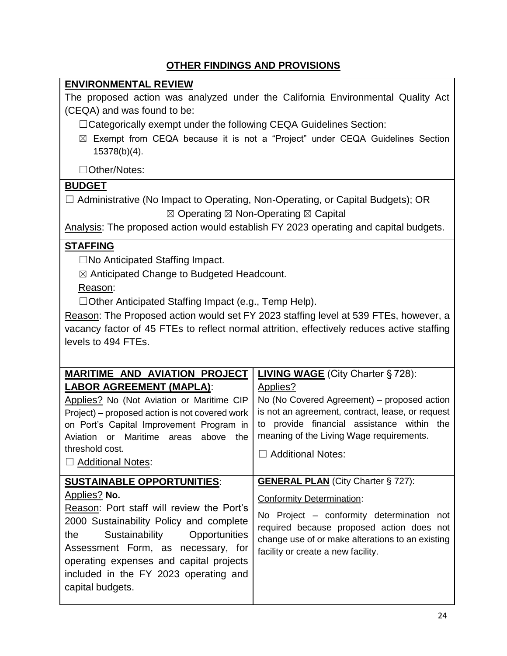# **OTHER FINDINGS AND PROVISIONS**

## **ENVIRONMENTAL REVIEW**

The proposed action was analyzed under the California Environmental Quality Act (CEQA) and was found to be:

☐Categorically exempt under the following CEQA Guidelines Section:

☒ Exempt from CEQA because it is not a "Project" under CEQA Guidelines Section 15378(b)(4).

☐Other/Notes:

## **BUDGET**

☐ Administrative (No Impact to Operating, Non-Operating, or Capital Budgets); OR  $\boxtimes$  Operating  $\boxtimes$  Non-Operating  $\boxtimes$  Capital

Analysis: The proposed action would establish FY 2023 operating and capital budgets.

## **STAFFING**

☐No Anticipated Staffing Impact.

☒ Anticipated Change to Budgeted Headcount.

Reason:

☐Other Anticipated Staffing Impact (e.g., Temp Help).

Reason: The Proposed action would set FY 2023 staffing level at 539 FTEs, however, a vacancy factor of 45 FTEs to reflect normal attrition, effectively reduces active staffing levels to 494 FTEs.

| <b>MARITIME AND AVIATION PROJECT</b><br><b>LABOR AGREEMENT (MAPLA):</b><br>Applies? No (Not Aviation or Maritime CIP<br>Project) – proposed action is not covered work<br>on Port's Capital Improvement Program in                                                                                                                | <b>LIVING WAGE</b> (City Charter § 728):<br>Applies?<br>No (No Covered Agreement) – proposed action<br>is not an agreement, contract, lease, or request<br>to provide financial assistance within the                                                             |
|-----------------------------------------------------------------------------------------------------------------------------------------------------------------------------------------------------------------------------------------------------------------------------------------------------------------------------------|-------------------------------------------------------------------------------------------------------------------------------------------------------------------------------------------------------------------------------------------------------------------|
| Aviation or Maritime areas above<br>the<br>threshold cost.<br>$\Box$ Additional Notes:                                                                                                                                                                                                                                            | meaning of the Living Wage requirements.<br><b>Additional Notes:</b>                                                                                                                                                                                              |
| <b>SUSTAINABLE OPPORTUNITIES:</b><br>Applies? No.<br>Reason: Port staff will review the Port's<br>2000 Sustainability Policy and complete<br>Opportunities<br>the<br>Sustainability<br>Assessment Form, as necessary, for<br>operating expenses and capital projects<br>included in the FY 2023 operating and<br>capital budgets. | <b>GENERAL PLAN</b> (City Charter § 727):<br><b>Conformity Determination:</b><br>No Project – conformity determination not<br>required because proposed action does not<br>change use of or make alterations to an existing<br>facility or create a new facility. |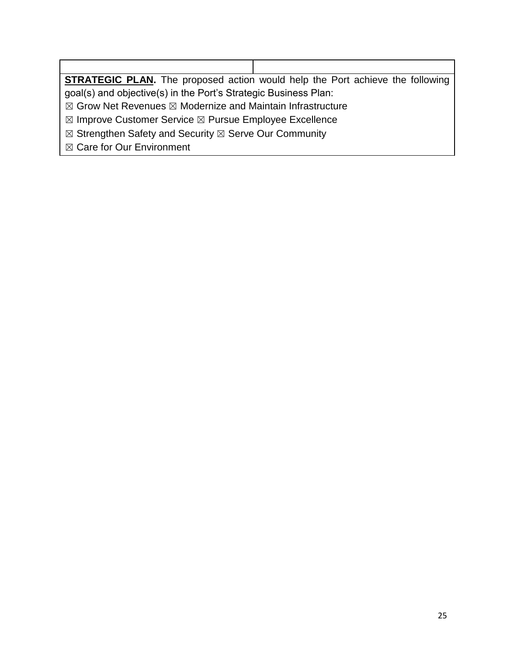**STRATEGIC PLAN.** The proposed action would help the Port achieve the following goal(s) and objective(s) in the Port's Strategic Business Plan:

 $\boxtimes$  Grow Net Revenues  $\boxtimes$  Modernize and Maintain Infrastructure

☒ Improve Customer Service ☒ Pursue Employee Excellence

⊠ Strengthen Safety and Security ⊠ Serve Our Community

☒ Care for Our Environment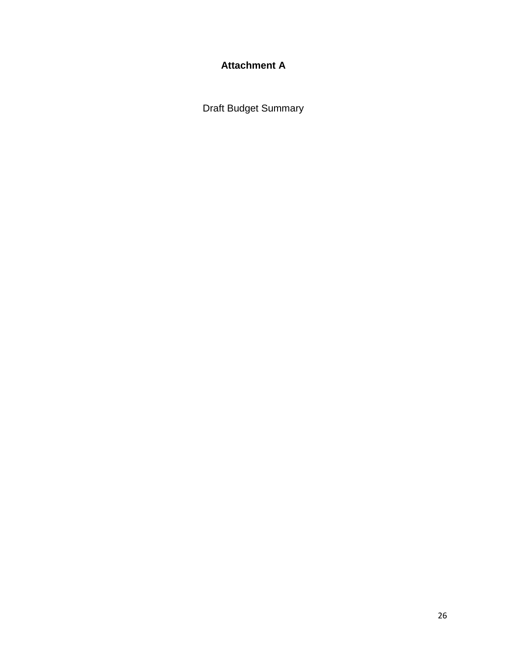# **Attachment A**

Draft Budget Summary